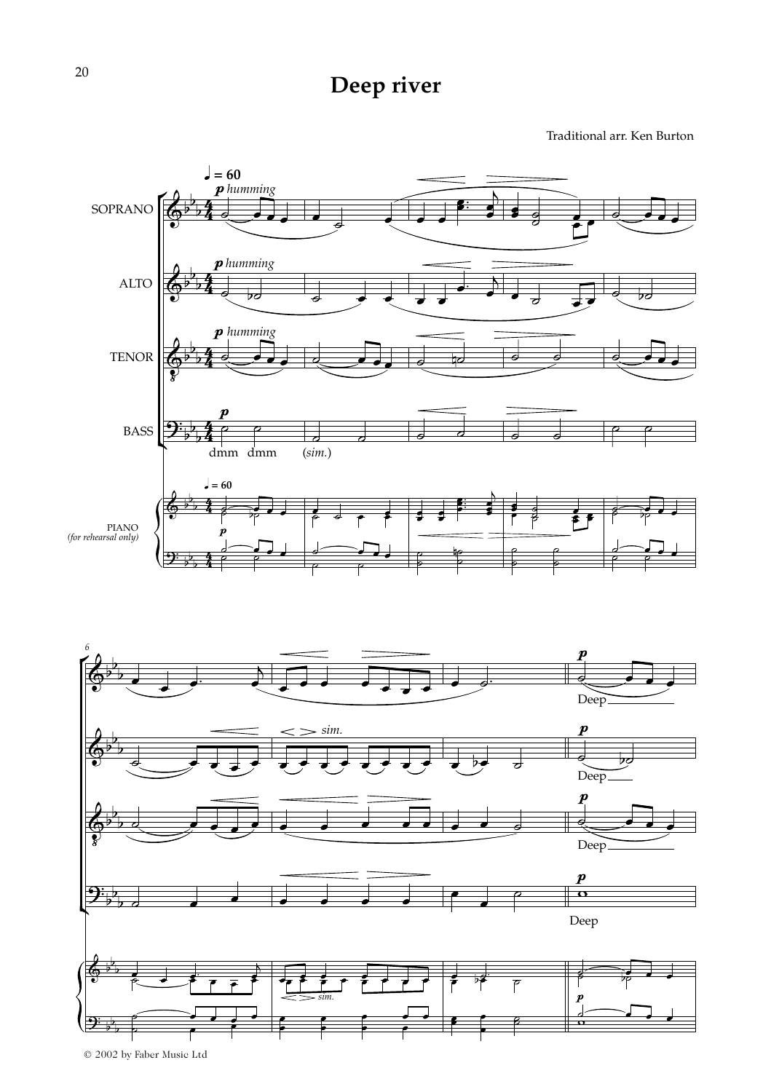## **Deep river**

Traditional arr. Ken Burton

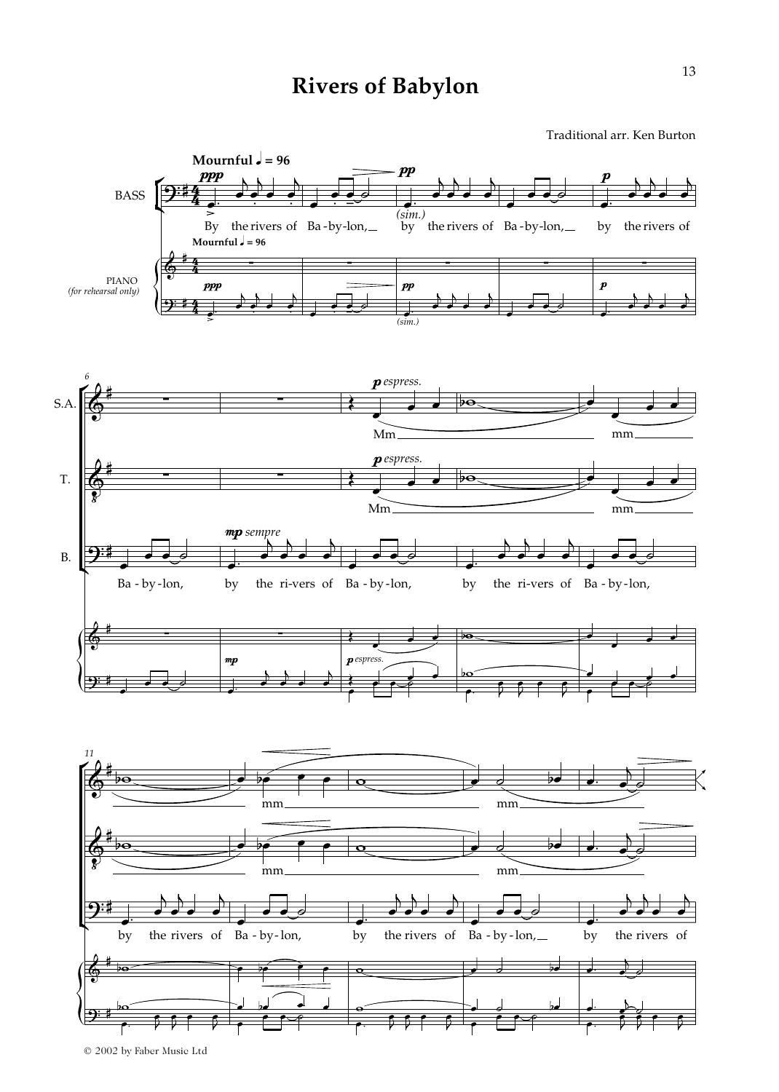## **Rivers of Babylon**

Traditional arr. Ken Burton



© 2002 by Faber Music Ltd